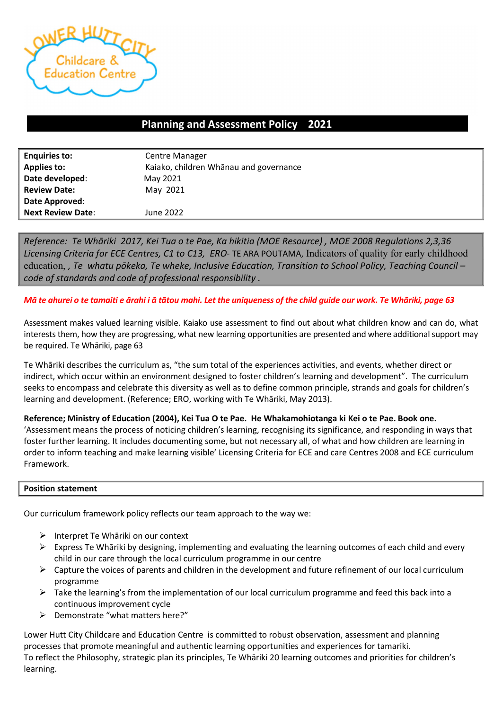

# Planning and Assessment Policy 2021 –

| <b>Enquiries to:</b>     | <b>Centre Manager</b>                  |  |
|--------------------------|----------------------------------------|--|
| <b>Applies to:</b>       | Kaiako, children Whānau and governance |  |
| Date developed:          | May 2021                               |  |
| <b>Review Date:</b>      | May 2021                               |  |
| Date Approved:           |                                        |  |
| <b>Next Review Date:</b> | June 2022                              |  |

Reference: Te Whāriki 2017, Kei Tua o te Pae, Ka hikitia (MOE Resource) , MOE 2008 Regulations 2,3,36 Licensing Criteria for ECE Centres, C1 to C13, ERO- TE ARA POUTAMA, Indicators of quality for early childhood education, , Te whatu pōkeka, Te wheke, Inclusive Education, Transition to School Policy, Teaching Council – code of standards and code of professional responsibility .

Mā te ahurei o te tamaiti e ārahi i ā tātou mahi. Let the uniqueness of the child guide our work. Te Whāriki, page 63

Assessment makes valued learning visible. Kaiako use assessment to find out about what children know and can do, what interests them, how they are progressing, what new learning opportunities are presented and where additional support may be required. Te Whāriki, page 63

Te Whāriki describes the curriculum as, "the sum total of the experiences activities, and events, whether direct or indirect, which occur within an environment designed to foster children's learning and development". The curriculum seeks to encompass and celebrate this diversity as well as to define common principle, strands and goals for children's learning and development. (Reference; ERO, working with Te Whāriki, May 2013).

Reference; Ministry of Education (2004), Kei Tua O te Pae. He Whakamohiotanga ki Kei o te Pae. Book one.

'Assessment means the process of noticing children's learning, recognising its significance, and responding in ways that foster further learning. It includes documenting some, but not necessary all, of what and how children are learning in order to inform teaching and make learning visible' Licensing Criteria for ECE and care Centres 2008 and ECE curriculum Framework.

### Position statement

Our curriculum framework policy reflects our team approach to the way we:

- $\triangleright$  Interpret Te Whāriki on our context
- $\triangleright$  Express Te Whāriki by designing, implementing and evaluating the learning outcomes of each child and every child in our care through the local curriculum programme in our centre
- $\triangleright$  Capture the voices of parents and children in the development and future refinement of our local curriculum programme
- $\triangleright$  Take the learning's from the implementation of our local curriculum programme and feed this back into a continuous improvement cycle
- Demonstrate "what matters here?"

Lower Hutt City Childcare and Education Centre is committed to robust observation, assessment and planning processes that promote meaningful and authentic learning opportunities and experiences for tamariki. To reflect the Philosophy, strategic plan its principles, Te Whāriki 20 learning outcomes and priorities for children's learning.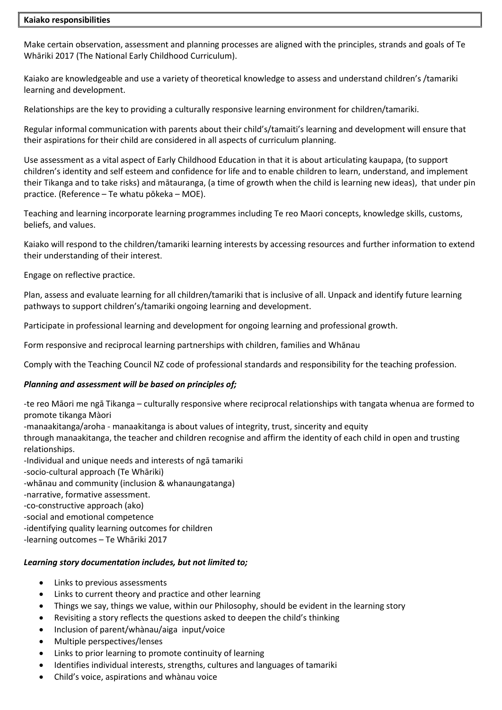### Kaiako responsibilities

Make certain observation, assessment and planning processes are aligned with the principles, strands and goals of Te Whāriki 2017 (The National Early Childhood Curriculum).

Kaiako are knowledgeable and use a variety of theoretical knowledge to assess and understand children's /tamariki learning and development.

Relationships are the key to providing a culturally responsive learning environment for children/tamariki.

Regular informal communication with parents about their child's/tamaiti's learning and development will ensure that their aspirations for their child are considered in all aspects of curriculum planning.

Use assessment as a vital aspect of Early Childhood Education in that it is about articulating kaupapa, (to support children's identity and self esteem and confidence for life and to enable children to learn, understand, and implement their Tikanga and to take risks) and mātauranga, (a time of growth when the child is learning new ideas), that under pin practice. (Reference – Te whatu pōkeka – MOE).

Teaching and learning incorporate learning programmes including Te reo Maori concepts, knowledge skills, customs, beliefs, and values.

Kaiako will respond to the children/tamariki learning interests by accessing resources and further information to extend their understanding of their interest.

Engage on reflective practice.

Plan, assess and evaluate learning for all children/tamariki that is inclusive of all. Unpack and identify future learning pathways to support children's/tamariki ongoing learning and development.

Participate in professional learning and development for ongoing learning and professional growth.

Form responsive and reciprocal learning partnerships with children, families and Whānau

Comply with the Teaching Council NZ code of professional standards and responsibility for the teaching profession.

### Planning and assessment will be based on principles of;

-te reo Māori me ngā Tikanga – culturally responsive where reciprocal relationships with tangata whenua are formed to promote tikanga Màori

-manaakitanga/aroha - manaakitanga is about values of integrity, trust, sincerity and equity

through manaakitanga, the teacher and children recognise and affirm the identity of each child in open and trusting relationships.

-Individual and unique needs and interests of ngā tamariki

-socio-cultural approach (Te Whāriki)

-whānau and community (inclusion & whanaungatanga)

-narrative, formative assessment.

-co-constructive approach (ako)

-social and emotional competence

-identifying quality learning outcomes for children

-learning outcomes – Te Whāriki 2017

### Learning story documentation includes, but not limited to;

- Links to previous assessments
- Links to current theory and practice and other learning
- Things we say, things we value, within our Philosophy, should be evident in the learning story
- Revisiting a story reflects the questions asked to deepen the child's thinking
- Inclusion of parent/whànau/aiga input/voice
- Multiple perspectives/lenses
- Links to prior learning to promote continuity of learning
- Identifies individual interests, strengths, cultures and languages of tamariki
- Child's voice, aspirations and whànau voice